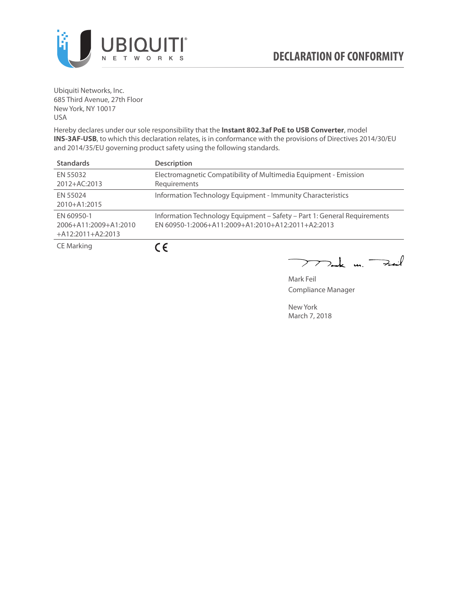

Ubiquiti Networks, Inc. 685 Third Avenue, 27th Floor New York, NY 10017 USA

Hereby declares under our sole responsibility that the **Instant 802.3af PoE to USB Converter**, model **INS-3AF-USB**, to which this declaration relates, is in conformance with the provisions of Directives 2014/30/EU and 2014/35/EU governing product safety using the following standards.

| <b>Standards</b>                                           | <b>Description</b>                                                                                                            |
|------------------------------------------------------------|-------------------------------------------------------------------------------------------------------------------------------|
| EN 55032<br>$2012+AC:2013$                                 | Electromagnetic Compatibility of Multimedia Equipment - Emission<br>Requirements                                              |
| FN 55024<br>2010+A1:2015                                   | Information Technology Equipment - Immunity Characteristics                                                                   |
| FN 60950-1<br>2006+A11:2009+A1:2010<br>$+A12:2011+A2:2013$ | Information Technology Equipment - Safety - Part 1: General Requirements<br>EN 60950-1:2006+A11:2009+A1:2010+A12:2011+A2:2013 |
| CE Marking                                                 | CE.                                                                                                                           |

mak m. Fuil

Mark Feil Compliance Manager

New York March 7, 2018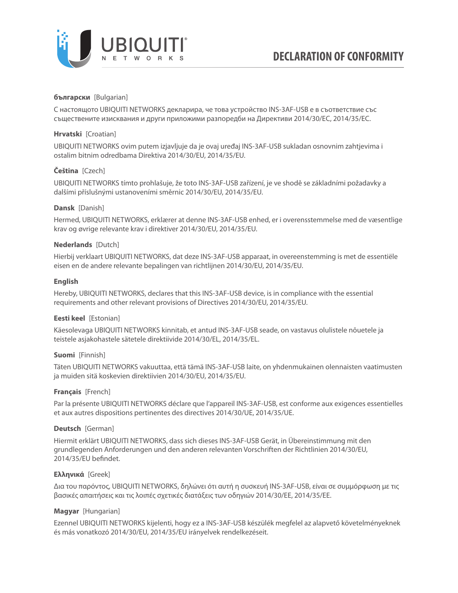

## **български** [Bulgarian]

С настоящото UBIQUITI NETWORKS декларира, че това устройство INS-3AF-USB е в съответствие със съществените изисквания и други приложими разпоредби на Директиви 2014/30/ЕС, 2014/35/ЕС.

## **Hrvatski** [Croatian]

UBIQUITI NETWORKS ovim putem izjavljuje da je ovaj uređaj INS-3AF-USB sukladan osnovnim zahtjevima i ostalim bitnim odredbama Direktiva 2014/30/EU, 2014/35/EU.

# **Čeština** [Czech]

UBIQUITI NETWORKS tímto prohlašuje, že toto INS-3AF-USB zařízení, je ve shodě se základními požadavky a dalšími příslušnými ustanoveními směrnic 2014/30/EU, 2014/35/EU.

# **Dansk** [Danish]

Hermed, UBIQUITI NETWORKS, erklærer at denne INS-3AF-USB enhed, er i overensstemmelse med de væsentlige krav og øvrige relevante krav i direktiver 2014/30/EU, 2014/35/EU.

## **Nederlands** [Dutch]

Hierbij verklaart UBIQUITI NETWORKS, dat deze INS-3AF-USB apparaat, in overeenstemming is met de essentiële eisen en de andere relevante bepalingen van richtlijnen 2014/30/EU, 2014/35/EU.

## **English**

Hereby, UBIQUITI NETWORKS, declares that this INS-3AF-USB device, is in compliance with the essential requirements and other relevant provisions of Directives 2014/30/EU, 2014/35/EU.

## **Eesti keel** [Estonian]

Käesolevaga UBIQUITI NETWORKS kinnitab, et antud INS-3AF-USB seade, on vastavus olulistele nõuetele ja teistele asjakohastele sätetele direktiivide 2014/30/EL, 2014/35/EL.

## **Suomi** [Finnish]

Täten UBIQUITI NETWORKS vakuuttaa, että tämä INS-3AF-USB laite, on yhdenmukainen olennaisten vaatimusten ja muiden sitä koskevien direktiivien 2014/30/EU, 2014/35/EU.

## **Français** [French]

Par la présente UBIQUITI NETWORKS déclare que l'appareil INS-3AF-USB, est conforme aux exigences essentielles et aux autres dispositions pertinentes des directives 2014/30/UE, 2014/35/UE.

## **Deutsch** [German]

Hiermit erklärt UBIQUITI NETWORKS, dass sich dieses INS-3AF-USB Gerät, in Übereinstimmung mit den grundlegenden Anforderungen und den anderen relevanten Vorschriften der Richtlinien 2014/30/EU, 2014/35/EU befindet.

## **Ελληνικά** [Greek]

Δια του παρόντος, UBIQUITI NETWORKS, δηλώνει ότι αυτή η συσκευή INS-3AF-USB, είναι σε συμμόρφωση με τις βασικές απαιτήσεις και τις λοιπές σχετικές διατάξεις των οδηγιών 2014/30/EE, 2014/35/EE.

## **Magyar** [Hungarian]

Ezennel UBIQUITI NETWORKS kijelenti, hogy ez a INS-3AF-USB készülék megfelel az alapvető követelményeknek és más vonatkozó 2014/30/EU, 2014/35/EU irányelvek rendelkezéseit.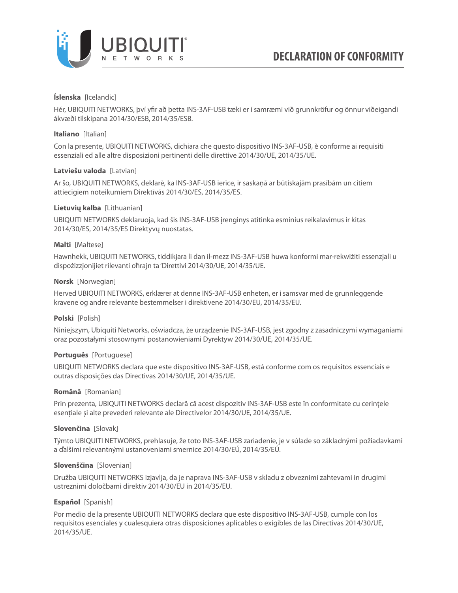

## **Íslenska** [Icelandic]

Hér, UBIQUITI NETWORKS, því yfir að þetta INS-3AF-USB tæki er í samræmi við grunnkröfur og önnur viðeigandi ákvæði tilskipana 2014/30/ESB, 2014/35/ESB.

## **Italiano** [Italian]

Con la presente, UBIQUITI NETWORKS, dichiara che questo dispositivo INS-3AF-USB, è conforme ai requisiti essenziali ed alle altre disposizioni pertinenti delle direttive 2014/30/UE, 2014/35/UE.

## **Latviešu valoda** [Latvian]

Ar šo, UBIQUITI NETWORKS, deklarē, ka INS-3AF-USB ierīce, ir saskaņā ar būtiskajām prasībām un citiem attiecīgiem noteikumiem Direktīvās 2014/30/ES, 2014/35/ES.

## **Lietuvių kalba** [Lithuanian]

UBIQUITI NETWORKS deklaruoja, kad šis INS-3AF-USB įrenginys atitinka esminius reikalavimus ir kitas 2014/30/ES, 2014/35/ES Direktyvų nuostatas.

## **Malti** [Maltese]

Hawnhekk, UBIQUITI NETWORKS, tiddikjara li dan il-mezz INS-3AF-USB huwa konformi mar-rekwiżiti essenzjali u dispożizzjonijiet rilevanti oħrajn ta 'Direttivi 2014/30/UE, 2014/35/UE.

## **Norsk** [Norwegian]

Herved UBIQUITI NETWORKS, erklærer at denne INS-3AF-USB enheten, er i samsvar med de grunnleggende kravene og andre relevante bestemmelser i direktivene 2014/30/EU, 2014/35/EU.

#### **Polski** [Polish]

Niniejszym, Ubiquiti Networks, oświadcza, że urządzenie INS-3AF-USB, jest zgodny z zasadniczymi wymaganiami oraz pozostałymi stosownymi postanowieniami Dyrektyw 2014/30/UE, 2014/35/UE.

#### **Português** [Portuguese]

UBIQUITI NETWORKS declara que este dispositivo INS-3AF-USB, está conforme com os requisitos essenciais e outras disposições das Directivas 2014/30/UE, 2014/35/UE.

## **Română** [Romanian]

Prin prezenta, UBIQUITI NETWORKS declară că acest dispozitiv INS-3AF-USB este în conformitate cu cerințele esențiale și alte prevederi relevante ale Directivelor 2014/30/UE, 2014/35/UE.

#### **Slovenčina** [Slovak]

Týmto UBIQUITI NETWORKS, prehlasuje, že toto INS-3AF-USB zariadenie, je v súlade so základnými požiadavkami a ďalšími relevantnými ustanoveniami smernice 2014/30/EÚ, 2014/35/EÚ.

## **Slovenščina** [Slovenian]

Družba UBIQUITI NETWORKS izjavlja, da je naprava INS-3AF-USB v skladu z obveznimi zahtevami in drugimi ustreznimi določbami direktiv 2014/30/EU in 2014/35/EU.

## **Español** [Spanish]

Por medio de la presente UBIQUITI NETWORKS declara que este dispositivo INS-3AF-USB, cumple con los requisitos esenciales y cualesquiera otras disposiciones aplicables o exigibles de las Directivas 2014/30/UE, 2014/35/UE.